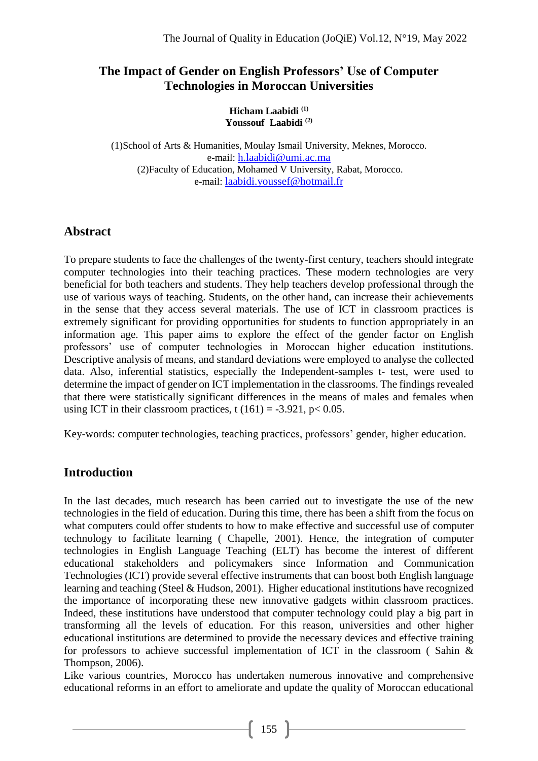## **The Impact of Gender on English Professors' Use of Computer Technologies in Moroccan Universities**

**Hicham Laabidi (1) Youssouf Laabidi (2)**

(1)School of Arts & Humanities, Moulay Ismail University, Meknes, Morocco. e-mail: h.laabidi@umi.ac.ma (2)Faculty of Education, Mohamed V University, Rabat, Morocco. e-mail: [laabidi.youssef@hotmail.fr](mailto:laabidi.youssef@hotmail.fr)

# **Abstract**

To prepare students to face the challenges of the twenty-first century, teachers should integrate computer technologies into their teaching practices. These modern technologies are very beneficial for both teachers and students. They help teachers develop professional through the use of various ways of teaching. Students, on the other hand, can increase their achievements in the sense that they access several materials. The use of ICT in classroom practices is extremely significant for providing opportunities for students to function appropriately in an information age. This paper aims to explore the effect of the gender factor on English professors' use of computer technologies in Moroccan higher education institutions. Descriptive analysis of means, and standard deviations were employed to analyse the collected data. Also, inferential statistics, especially the Independent-samples t- test, were used to determine the impact of gender on ICT implementation in the classrooms. The findings revealed that there were statistically significant differences in the means of males and females when using ICT in their classroom practices, t  $(161) = -3.921$ , p< 0.05.

Key-words: computer technologies, teaching practices, professors' gender, higher education.

# **Introduction**

In the last decades, much research has been carried out to investigate the use of the new technologies in the field of education. During this time, there has been a shift from the focus on what computers could offer students to how to make effective and successful use of computer technology to facilitate learning ( Chapelle, 2001). Hence, the integration of computer technologies in English Language Teaching (ELT) has become the interest of different educational stakeholders and policymakers since Information and Communication Technologies (ICT) provide several effective instruments that can boost both English language learning and teaching (Steel & Hudson, 2001). Higher educational institutions have recognized the importance of incorporating these new innovative gadgets within classroom practices. Indeed, these institutions have understood that computer technology could play a big part in transforming all the levels of education. For this reason, universities and other higher educational institutions are determined to provide the necessary devices and effective training for professors to achieve successful implementation of ICT in the classroom ( Sahin & Thompson, 2006).

Like various countries, Morocco has undertaken numerous innovative and comprehensive educational reforms in an effort to ameliorate and update the quality of Moroccan educational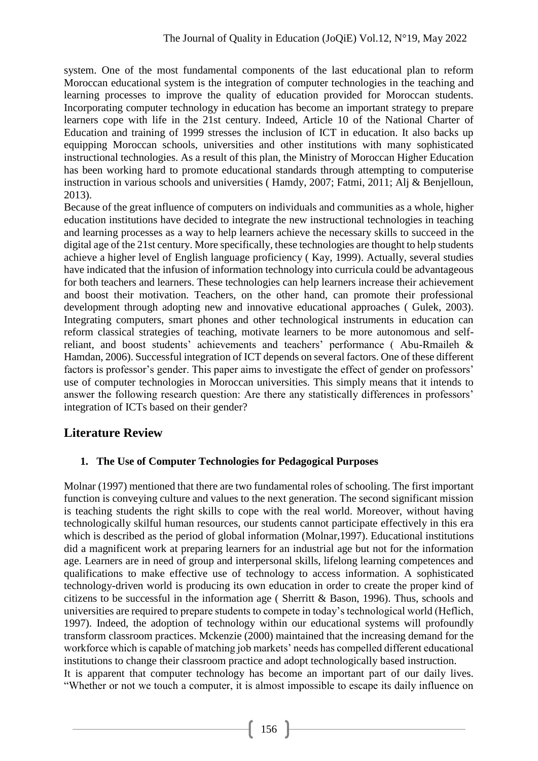system. One of the most fundamental components of the last educational plan to reform Moroccan educational system is the integration of computer technologies in the teaching and learning processes to improve the quality of education provided for Moroccan students. Incorporating computer technology in education has become an important strategy to prepare learners cope with life in the 21st century. Indeed, Article 10 of the National Charter of Education and training of 1999 stresses the inclusion of ICT in education. It also backs up equipping Moroccan schools, universities and other institutions with many sophisticated instructional technologies. As a result of this plan, the Ministry of Moroccan Higher Education has been working hard to promote educational standards through attempting to computerise instruction in various schools and universities ( Hamdy, 2007; Fatmi, 2011; Alj & Benjelloun, 2013).

Because of the great influence of computers on individuals and communities as a whole, higher education institutions have decided to integrate the new instructional technologies in teaching and learning processes as a way to help learners achieve the necessary skills to succeed in the digital age of the 21st century. More specifically, these technologies are thought to help students achieve a higher level of English language proficiency ( Kay, 1999). Actually, several studies have indicated that the infusion of information technology into curricula could be advantageous for both teachers and learners. These technologies can help learners increase their achievement and boost their motivation. Teachers, on the other hand, can promote their professional development through adopting new and innovative educational approaches ( Gulek, 2003). Integrating computers, smart phones and other technological instruments in education can reform classical strategies of teaching, motivate learners to be more autonomous and selfreliant, and boost students' achievements and teachers' performance ( Abu-Rmaileh & Hamdan, 2006). Successful integration of ICT depends on several factors. One of these different factors is professor's gender. This paper aims to investigate the effect of gender on professors' use of computer technologies in Moroccan universities. This simply means that it intends to answer the following research question: Are there any statistically differences in professors' integration of ICTs based on their gender?

## **Literature Review**

#### **1. The Use of Computer Technologies for Pedagogical Purposes**

Molnar (1997) mentioned that there are two fundamental roles of schooling. The first important function is conveying culture and values to the next generation. The second significant mission is teaching students the right skills to cope with the real world. Moreover, without having technologically skilful human resources, our students cannot participate effectively in this era which is described as the period of global information (Molnar,1997). Educational institutions did a magnificent work at preparing learners for an industrial age but not for the information age. Learners are in need of group and interpersonal skills, lifelong learning competences and qualifications to make effective use of technology to access information. A sophisticated technology-driven world is producing its own education in order to create the proper kind of citizens to be successful in the information age ( Sherritt & Bason, 1996). Thus, schools and universities are required to prepare students to compete in today's technological world (Heflich, 1997). Indeed, the adoption of technology within our educational systems will profoundly transform classroom practices. Mckenzie (2000) maintained that the increasing demand for the workforce which is capable of matching job markets' needs has compelled different educational institutions to change their classroom practice and adopt technologically based instruction. It is apparent that computer technology has become an important part of our daily lives. "Whether or not we touch a computer, it is almost impossible to escape its daily influence on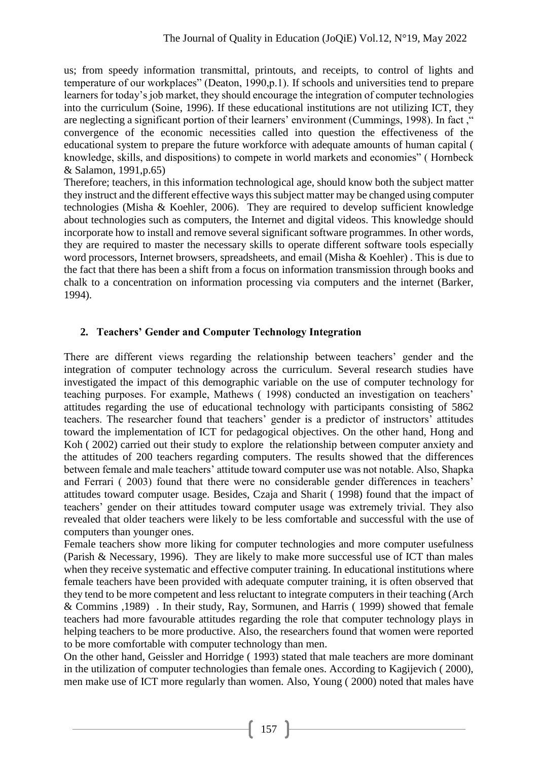us; from speedy information transmittal, printouts, and receipts, to control of lights and temperature of our workplaces" (Deaton, 1990,p.1). If schools and universities tend to prepare learners for today's job market, they should encourage the integration of computer technologies into the curriculum (Soine, 1996). If these educational institutions are not utilizing ICT, they are neglecting a significant portion of their learners' environment (Cummings, 1998). In fact ," convergence of the economic necessities called into question the effectiveness of the educational system to prepare the future workforce with adequate amounts of human capital ( knowledge, skills, and dispositions) to compete in world markets and economies" ( Hornbeck & Salamon, 1991,p.65)

Therefore; teachers, in this information technological age, should know both the subject matter they instruct and the different effective ways this subject matter may be changed using computer technologies (Misha & Koehler, 2006). They are required to develop sufficient knowledge about technologies such as computers, the Internet and digital videos. This knowledge should incorporate how to install and remove several significant software programmes. In other words, they are required to master the necessary skills to operate different software tools especially word processors, Internet browsers, spreadsheets, and email (Misha & Koehler) . This is due to the fact that there has been a shift from a focus on information transmission through books and chalk to a concentration on information processing via computers and the internet (Barker, 1994).

#### **2. Teachers' Gender and Computer Technology Integration**

There are different views regarding the relationship between teachers' gender and the integration of computer technology across the curriculum. Several research studies have investigated the impact of this demographic variable on the use of computer technology for teaching purposes. For example, Mathews ( 1998) conducted an investigation on teachers' attitudes regarding the use of educational technology with participants consisting of 5862 teachers. The researcher found that teachers' gender is a predictor of instructors' attitudes toward the implementation of ICT for pedagogical objectives. On the other hand, Hong and Koh ( 2002) carried out their study to explore the relationship between computer anxiety and the attitudes of 200 teachers regarding computers. The results showed that the differences between female and male teachers' attitude toward computer use was not notable. Also, Shapka and Ferrari ( 2003) found that there were no considerable gender differences in teachers' attitudes toward computer usage. Besides, Czaja and Sharit ( 1998) found that the impact of teachers' gender on their attitudes toward computer usage was extremely trivial. They also revealed that older teachers were likely to be less comfortable and successful with the use of computers than younger ones.

Female teachers show more liking for computer technologies and more computer usefulness (Parish & Necessary, 1996). They are likely to make more successful use of ICT than males when they receive systematic and effective computer training. In educational institutions where female teachers have been provided with adequate computer training, it is often observed that they tend to be more competent and less reluctant to integrate computers in their teaching (Arch & Commins ,1989) . In their study, Ray, Sormunen, and Harris ( 1999) showed that female teachers had more favourable attitudes regarding the role that computer technology plays in helping teachers to be more productive. Also, the researchers found that women were reported to be more comfortable with computer technology than men.

On the other hand, Geissler and Horridge ( 1993) stated that male teachers are more dominant in the utilization of computer technologies than female ones. According to Kagijevich ( 2000), men make use of ICT more regularly than women. Also, Young ( 2000) noted that males have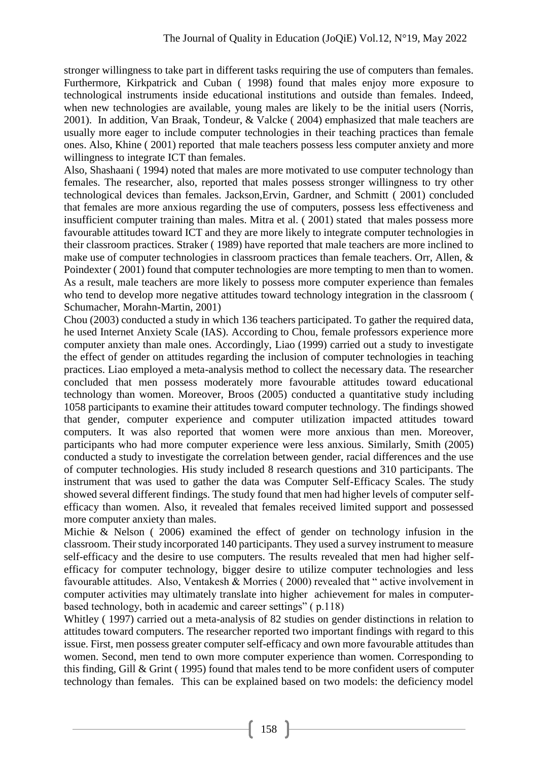stronger willingness to take part in different tasks requiring the use of computers than females. Furthermore, Kirkpatrick and Cuban ( 1998) found that males enjoy more exposure to technological instruments inside educational institutions and outside than females. Indeed, when new technologies are available, young males are likely to be the initial users (Norris, 2001). In addition, Van Braak, Tondeur, & Valcke ( 2004) emphasized that male teachers are usually more eager to include computer technologies in their teaching practices than female ones. Also, Khine ( 2001) reported that male teachers possess less computer anxiety and more willingness to integrate ICT than females.

Also, Shashaani ( 1994) noted that males are more motivated to use computer technology than females. The researcher, also, reported that males possess stronger willingness to try other technological devices than females. Jackson,Ervin, Gardner, and Schmitt ( 2001) concluded that females are more anxious regarding the use of computers, possess less effectiveness and insufficient computer training than males. Mitra et al. ( 2001) stated that males possess more favourable attitudes toward ICT and they are more likely to integrate computer technologies in their classroom practices. Straker ( 1989) have reported that male teachers are more inclined to make use of computer technologies in classroom practices than female teachers. Orr, Allen, & Poindexter ( 2001) found that computer technologies are more tempting to men than to women. As a result, male teachers are more likely to possess more computer experience than females who tend to develop more negative attitudes toward technology integration in the classroom ( Schumacher, Morahn-Martin, 2001)

Chou (2003) conducted a study in which 136 teachers participated. To gather the required data, he used Internet Anxiety Scale (IAS). According to Chou, female professors experience more computer anxiety than male ones. Accordingly, Liao (1999) carried out a study to investigate the effect of gender on attitudes regarding the inclusion of computer technologies in teaching practices. Liao employed a meta-analysis method to collect the necessary data. The researcher concluded that men possess moderately more favourable attitudes toward educational technology than women. Moreover, Broos (2005) conducted a quantitative study including 1058 participants to examine their attitudes toward computer technology. The findings showed that gender, computer experience and computer utilization impacted attitudes toward computers. It was also reported that women were more anxious than men. Moreover, participants who had more computer experience were less anxious. Similarly, Smith (2005) conducted a study to investigate the correlation between gender, racial differences and the use of computer technologies. His study included 8 research questions and 310 participants. The instrument that was used to gather the data was Computer Self-Efficacy Scales. The study showed several different findings. The study found that men had higher levels of computer selfefficacy than women. Also, it revealed that females received limited support and possessed more computer anxiety than males.

Michie & Nelson ( 2006) examined the effect of gender on technology infusion in the classroom. Their study incorporated 140 participants. They used a survey instrument to measure self-efficacy and the desire to use computers. The results revealed that men had higher selfefficacy for computer technology, bigger desire to utilize computer technologies and less favourable attitudes. Also, Ventakesh & Morries ( 2000) revealed that " active involvement in computer activities may ultimately translate into higher achievement for males in computerbased technology, both in academic and career settings" ( p.118)

Whitley ( 1997) carried out a meta-analysis of 82 studies on gender distinctions in relation to attitudes toward computers. The researcher reported two important findings with regard to this issue. First, men possess greater computer self-efficacy and own more favourable attitudes than women. Second, men tend to own more computer experience than women. Corresponding to this finding, Gill & Grint ( 1995) found that males tend to be more confident users of computer technology than females. This can be explained based on two models: the deficiency model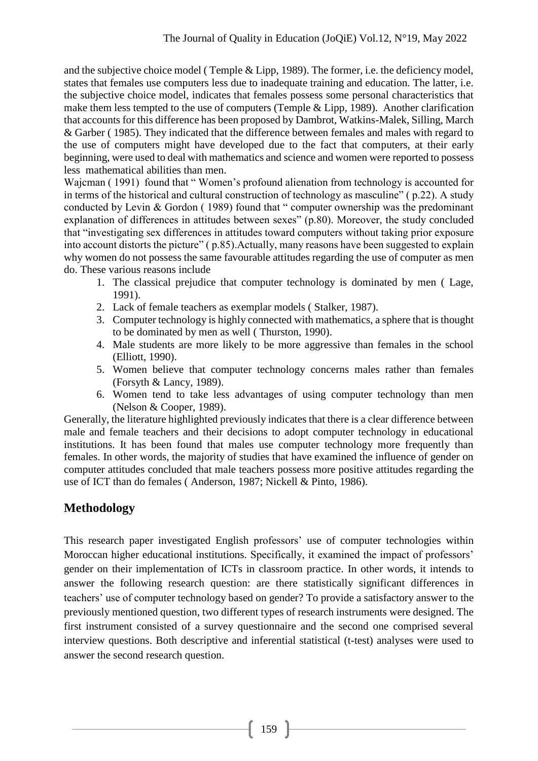and the subjective choice model ( Temple & Lipp, 1989). The former, i.e. the deficiency model, states that females use computers less due to inadequate training and education. The latter, i.e. the subjective choice model, indicates that females possess some personal characteristics that make them less tempted to the use of computers (Temple & Lipp, 1989). Another clarification that accounts for this difference has been proposed by Dambrot, Watkins-Malek, Silling, March & Garber ( 1985). They indicated that the difference between females and males with regard to the use of computers might have developed due to the fact that computers, at their early beginning, were used to deal with mathematics and science and women were reported to possess less mathematical abilities than men.

Wajcman ( 1991) found that " Women's profound alienation from technology is accounted for in terms of the historical and cultural construction of technology as masculine" ( p.22). A study conducted by Levin & Gordon (1989) found that " computer ownership was the predominant explanation of differences in attitudes between sexes" (p.80). Moreover, the study concluded that "investigating sex differences in attitudes toward computers without taking prior exposure into account distorts the picture" ( p.85).Actually, many reasons have been suggested to explain why women do not possess the same favourable attitudes regarding the use of computer as men do. These various reasons include

- 1. The classical prejudice that computer technology is dominated by men ( Lage, 1991).
- 2. Lack of female teachers as exemplar models ( Stalker, 1987).
- 3. Computer technology is highly connected with mathematics, a sphere that is thought to be dominated by men as well ( Thurston, 1990).
- 4. Male students are more likely to be more aggressive than females in the school (Elliott, 1990).
- 5. Women believe that computer technology concerns males rather than females (Forsyth & Lancy, 1989).
- 6. Women tend to take less advantages of using computer technology than men (Nelson & Cooper, 1989).

Generally, the literature highlighted previously indicates that there is a clear difference between male and female teachers and their decisions to adopt computer technology in educational institutions. It has been found that males use computer technology more frequently than females. In other words, the majority of studies that have examined the influence of gender on computer attitudes concluded that male teachers possess more positive attitudes regarding the use of ICT than do females ( Anderson, 1987; Nickell & Pinto, 1986).

# **Methodology**

This research paper investigated English professors' use of computer technologies within Moroccan higher educational institutions. Specifically, it examined the impact of professors' gender on their implementation of ICTs in classroom practice. In other words, it intends to answer the following research question: are there statistically significant differences in teachers' use of computer technology based on gender? To provide a satisfactory answer to the previously mentioned question, two different types of research instruments were designed. The first instrument consisted of a survey questionnaire and the second one comprised several interview questions. Both descriptive and inferential statistical (t-test) analyses were used to answer the second research question.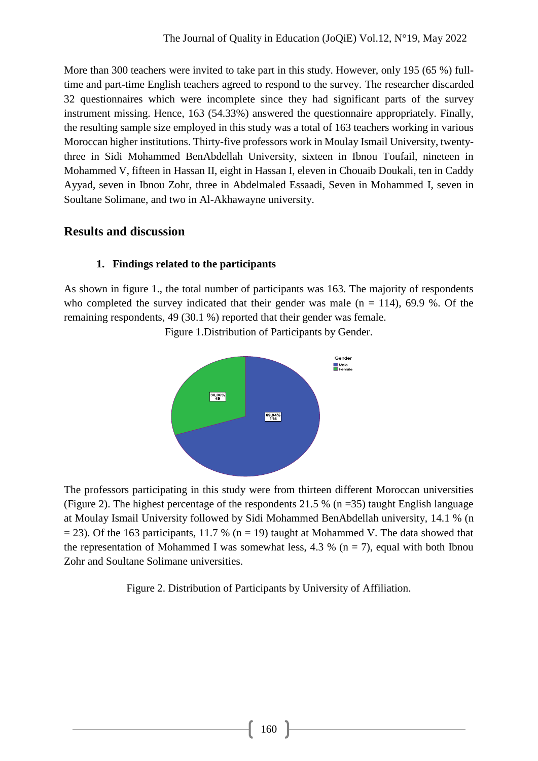More than 300 teachers were invited to take part in this study. However, only 195 (65 %) fulltime and part-time English teachers agreed to respond to the survey. The researcher discarded 32 questionnaires which were incomplete since they had significant parts of the survey instrument missing. Hence, 163 (54.33%) answered the questionnaire appropriately. Finally, the resulting sample size employed in this study was a total of 163 teachers working in various Moroccan higher institutions. Thirty-five professors work in Moulay Ismail University, twentythree in Sidi Mohammed BenAbdellah University, sixteen in Ibnou Toufail, nineteen in Mohammed V, fifteen in Hassan II, eight in Hassan I, eleven in Chouaib Doukali, ten in Caddy Ayyad, seven in Ibnou Zohr, three in Abdelmaled Essaadi, Seven in Mohammed I, seven in Soultane Solimane, and two in Al-Akhawayne university.

## **Results and discussion**

#### **1. Findings related to the participants**

As shown in figure 1., the total number of participants was 163. The majority of respondents who completed the survey indicated that their gender was male  $(n = 114)$ , 69.9 %. Of the remaining respondents, 49 (30.1 %) reported that their gender was female.



Figure 1.Distribution of Participants by Gender.

The professors participating in this study were from thirteen different Moroccan universities (Figure 2). The highest percentage of the respondents 21.5 % (n = 35) taught English language at Moulay Ismail University followed by Sidi Mohammed BenAbdellah university, 14.1 % (n  $= 23$ ). Of the 163 participants, 11.7 % (n = 19) taught at Mohammed V. The data showed that the representation of Mohammed I was somewhat less, 4.3 % ( $n = 7$ ), equal with both Ibnou Zohr and Soultane Solimane universities.

Figure 2. Distribution of Participants by University of Affiliation.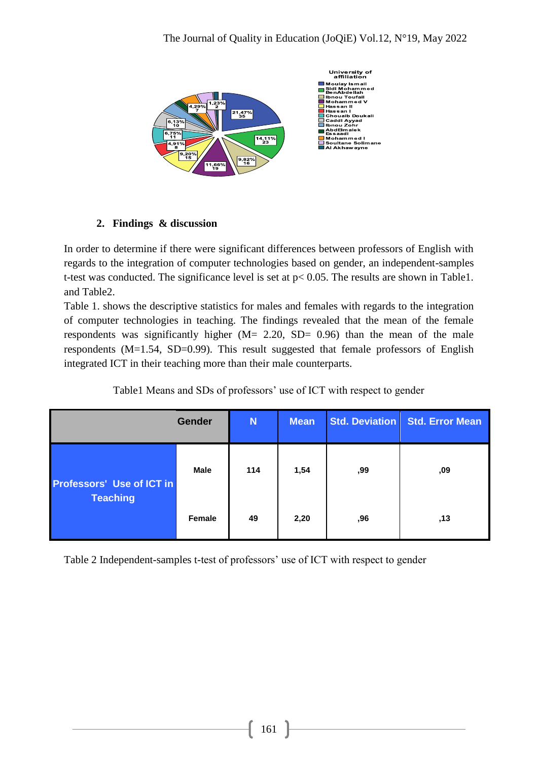

## **2. Findings & discussion**

In order to determine if there were significant differences between professors of English with regards to the integration of computer technologies based on gender, an independent-samples t-test was conducted. The significance level is set at p< 0.05. The results are shown in Table1. and Table2.

Table 1. shows the descriptive statistics for males and females with regards to the integration of computer technologies in teaching. The findings revealed that the mean of the female respondents was significantly higher  $(M = 2.20, SD = 0.96)$  than the mean of the male respondents (M=1.54, SD=0.99). This result suggested that female professors of English integrated ICT in their teaching more than their male counterparts.

| <b>Gender</b>                                       |               | N   | <b>Mean</b> |     | Std. Deviation Std. Error Mean |  |
|-----------------------------------------------------|---------------|-----|-------------|-----|--------------------------------|--|
| <b>Professors' Use of ICT in</b><br><b>Teaching</b> | <b>Male</b>   | 114 | 1,54        | ,99 | ,09                            |  |
|                                                     | <b>Female</b> | 49  | 2,20        | ,96 | ,13                            |  |

Table1 Means and SDs of professors' use of ICT with respect to gender

Table 2 Independent-samples t-test of professors' use of ICT with respect to gender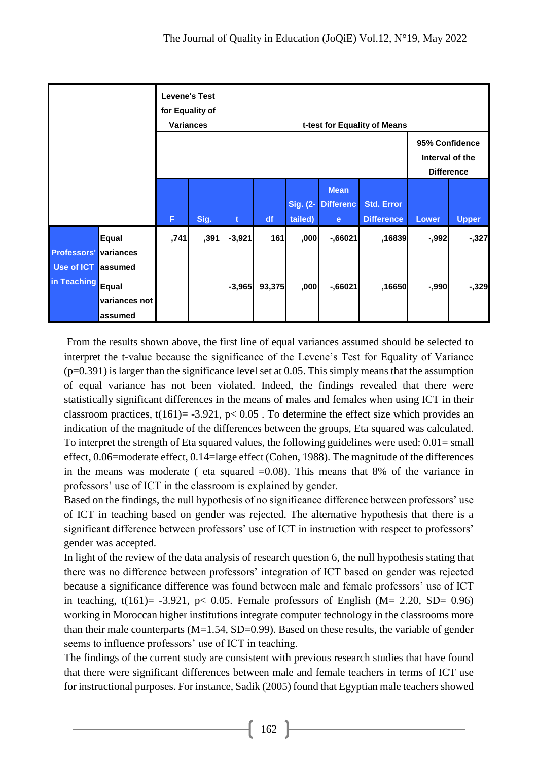| <b>Levene's Test</b><br>for Equality of<br><b>Variances</b> |                                      |      | t-test for Equality of Means |             |                                                        |                     |                                                 |                                        |          |              |
|-------------------------------------------------------------|--------------------------------------|------|------------------------------|-------------|--------------------------------------------------------|---------------------|-------------------------------------------------|----------------------------------------|----------|--------------|
|                                                             |                                      |      |                              |             | 95% Confidence<br>Interval of the<br><b>Difference</b> |                     |                                                 |                                        |          |              |
|                                                             |                                      | F    | Sig.                         | $\mathbf t$ | df                                                     | Sig. (2-<br>tailed) | <b>Mean</b><br><b>Differenc</b><br>$\mathbf{e}$ | <b>Std. Error</b><br><b>Difference</b> | Lower    | <b>Upper</b> |
| <b>Professors'</b><br>Use of ICT                            | <b>Equal</b><br>variances<br>assumed | ,741 | ,391                         | $-3,921$    | 161                                                    | ,000                | $-0.66021$                                      | ,16839                                 | $-0.992$ | $-327$       |
| in Teaching                                                 | Equal<br>variances not<br>assumed    |      |                              | $-3,965$    | 93,375                                                 | ,000                | $-0.66021$                                      | ,16650                                 | $-0.990$ | $-0.329$     |

From the results shown above, the first line of equal variances assumed should be selected to interpret the t-value because the significance of the Levene's Test for Equality of Variance  $(p=0.391)$  is larger than the significance level set at 0.05. This simply means that the assumption of equal variance has not been violated. Indeed, the findings revealed that there were statistically significant differences in the means of males and females when using ICT in their classroom practices,  $t(161) = -3.921$ ,  $p < 0.05$ . To determine the effect size which provides an indication of the magnitude of the differences between the groups, Eta squared was calculated. To interpret the strength of Eta squared values, the following guidelines were used: 0.01= small effect, 0.06=moderate effect, 0.14=large effect (Cohen, 1988). The magnitude of the differences in the means was moderate (eta squared  $=0.08$ ). This means that 8% of the variance in professors' use of ICT in the classroom is explained by gender.

Based on the findings, the null hypothesis of no significance difference between professors' use of ICT in teaching based on gender was rejected. The alternative hypothesis that there is a significant difference between professors' use of ICT in instruction with respect to professors' gender was accepted.

In light of the review of the data analysis of research question 6, the null hypothesis stating that there was no difference between professors' integration of ICT based on gender was rejected because a significance difference was found between male and female professors' use of ICT in teaching,  $t(161) = -3.921$ ,  $p < 0.05$ . Female professors of English (M= 2.20, SD= 0.96) working in Moroccan higher institutions integrate computer technology in the classrooms more than their male counterparts  $(M=1.54, SD=0.99)$ . Based on these results, the variable of gender seems to influence professors' use of ICT in teaching.

The findings of the current study are consistent with previous research studies that have found that there were significant differences between male and female teachers in terms of ICT use for instructional purposes. For instance, Sadik (2005) found that Egyptian male teachers showed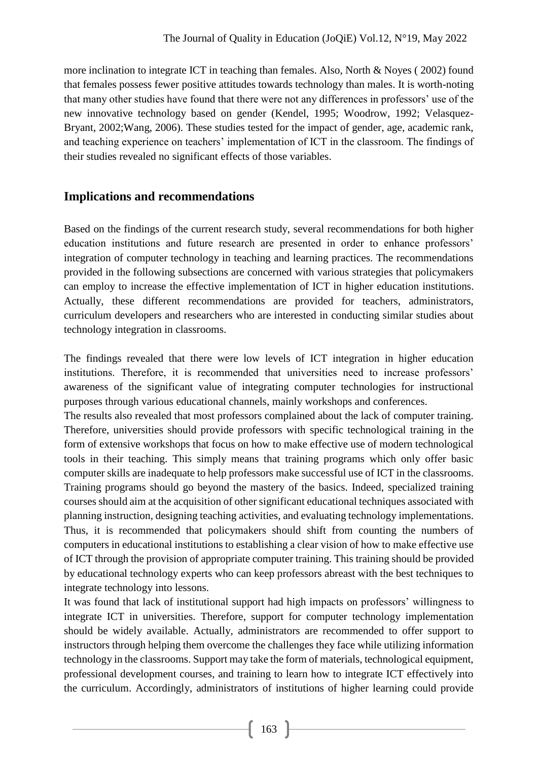more inclination to integrate ICT in teaching than females. Also, North & Noyes ( 2002) found that females possess fewer positive attitudes towards technology than males. It is worth-noting that many other studies have found that there were not any differences in professors' use of the new innovative technology based on gender (Kendel, 1995; Woodrow, 1992; Velasquez-Bryant, 2002;Wang, 2006). These studies tested for the impact of gender, age, academic rank, and teaching experience on teachers' implementation of ICT in the classroom. The findings of their studies revealed no significant effects of those variables.

### **Implications and recommendations**

Based on the findings of the current research study, several recommendations for both higher education institutions and future research are presented in order to enhance professors' integration of computer technology in teaching and learning practices. The recommendations provided in the following subsections are concerned with various strategies that policymakers can employ to increase the effective implementation of ICT in higher education institutions. Actually, these different recommendations are provided for teachers, administrators, curriculum developers and researchers who are interested in conducting similar studies about technology integration in classrooms.

The findings revealed that there were low levels of ICT integration in higher education institutions. Therefore, it is recommended that universities need to increase professors' awareness of the significant value of integrating computer technologies for instructional purposes through various educational channels, mainly workshops and conferences.

The results also revealed that most professors complained about the lack of computer training. Therefore, universities should provide professors with specific technological training in the form of extensive workshops that focus on how to make effective use of modern technological tools in their teaching. This simply means that training programs which only offer basic computer skills are inadequate to help professors make successful use of ICT in the classrooms. Training programs should go beyond the mastery of the basics. Indeed, specialized training courses should aim at the acquisition of other significant educational techniques associated with planning instruction, designing teaching activities, and evaluating technology implementations. Thus, it is recommended that policymakers should shift from counting the numbers of computers in educational institutions to establishing a clear vision of how to make effective use of ICT through the provision of appropriate computer training. This training should be provided by educational technology experts who can keep professors abreast with the best techniques to integrate technology into lessons.

It was found that lack of institutional support had high impacts on professors' willingness to integrate ICT in universities. Therefore, support for computer technology implementation should be widely available. Actually, administrators are recommended to offer support to instructors through helping them overcome the challenges they face while utilizing information technology in the classrooms. Support may take the form of materials, technological equipment, professional development courses, and training to learn how to integrate ICT effectively into the curriculum. Accordingly, administrators of institutions of higher learning could provide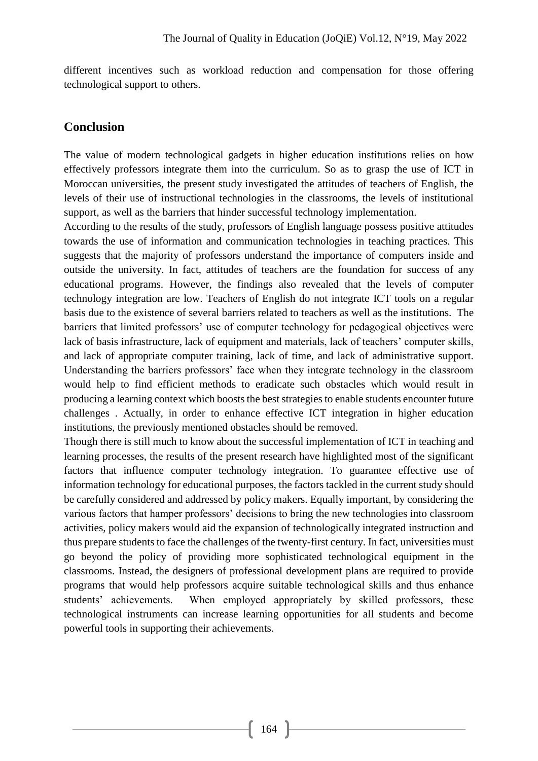different incentives such as workload reduction and compensation for those offering technological support to others.

#### **Conclusion**

The value of modern technological gadgets in higher education institutions relies on how effectively professors integrate them into the curriculum. So as to grasp the use of ICT in Moroccan universities, the present study investigated the attitudes of teachers of English, the levels of their use of instructional technologies in the classrooms, the levels of institutional support, as well as the barriers that hinder successful technology implementation.

According to the results of the study, professors of English language possess positive attitudes towards the use of information and communication technologies in teaching practices. This suggests that the majority of professors understand the importance of computers inside and outside the university. In fact, attitudes of teachers are the foundation for success of any educational programs. However, the findings also revealed that the levels of computer technology integration are low. Teachers of English do not integrate ICT tools on a regular basis due to the existence of several barriers related to teachers as well as the institutions. The barriers that limited professors' use of computer technology for pedagogical objectives were lack of basis infrastructure, lack of equipment and materials, lack of teachers' computer skills, and lack of appropriate computer training, lack of time, and lack of administrative support. Understanding the barriers professors' face when they integrate technology in the classroom would help to find efficient methods to eradicate such obstacles which would result in producing a learning context which boosts the best strategies to enable students encounter future challenges . Actually, in order to enhance effective ICT integration in higher education institutions, the previously mentioned obstacles should be removed.

Though there is still much to know about the successful implementation of ICT in teaching and learning processes, the results of the present research have highlighted most of the significant factors that influence computer technology integration. To guarantee effective use of information technology for educational purposes, the factors tackled in the current study should be carefully considered and addressed by policy makers. Equally important, by considering the various factors that hamper professors' decisions to bring the new technologies into classroom activities, policy makers would aid the expansion of technologically integrated instruction and thus prepare students to face the challenges of the twenty-first century. In fact, universities must go beyond the policy of providing more sophisticated technological equipment in the classrooms. Instead, the designers of professional development plans are required to provide programs that would help professors acquire suitable technological skills and thus enhance students' achievements. When employed appropriately by skilled professors, these technological instruments can increase learning opportunities for all students and become powerful tools in supporting their achievements.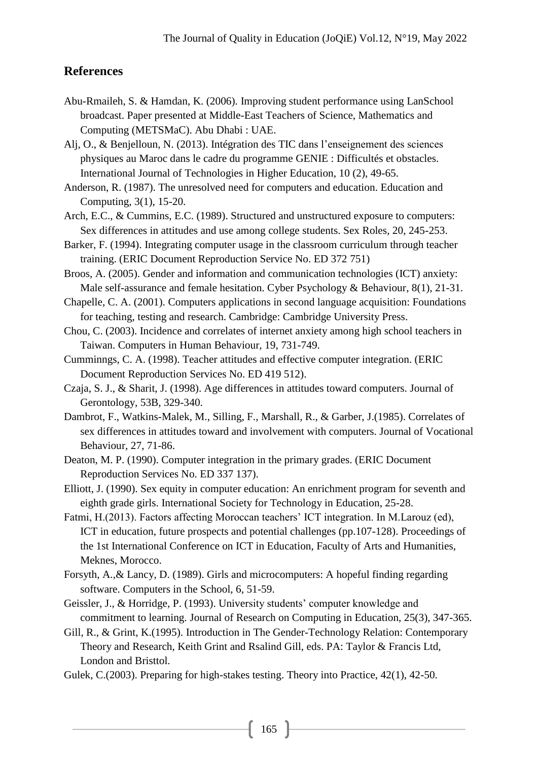#### **References**

- Abu-Rmaileh, S. & Hamdan, K. (2006). Improving student performance using LanSchool broadcast. Paper presented at Middle-East Teachers of Science, Mathematics and Computing (METSMaC). Abu Dhabi : UAE.
- Alj, O., & Benjelloun, N. (2013). Intégration des TIC dans l'enseignement des sciences physiques au Maroc dans le cadre du programme GENIE : Difficultés et obstacles. International Journal of Technologies in Higher Education, 10 (2), 49-65.
- Anderson, R. (1987). The unresolved need for computers and education. Education and Computing, 3(1), 15-20.
- Arch, E.C., & Cummins, E.C. (1989). Structured and unstructured exposure to computers: Sex differences in attitudes and use among college students. Sex Roles, 20, 245-253.
- Barker, F. (1994). Integrating computer usage in the classroom curriculum through teacher training. (ERIC Document Reproduction Service No. ED 372 751)
- Broos, A. (2005). Gender and information and communication technologies (ICT) anxiety: Male self-assurance and female hesitation. Cyber Psychology & Behaviour, 8(1), 21-31.
- Chapelle, C. A. (2001). Computers applications in second language acquisition: Foundations for teaching, testing and research. Cambridge: Cambridge University Press.
- Chou, C. (2003). Incidence and correlates of internet anxiety among high school teachers in Taiwan. Computers in Human Behaviour, 19, 731-749.
- Cumminngs, C. A. (1998). Teacher attitudes and effective computer integration. (ERIC Document Reproduction Services No. ED 419 512).
- Czaja, S. J., & Sharit, J. (1998). Age differences in attitudes toward computers. Journal of Gerontology, 53B, 329-340.
- Dambrot, F., Watkins-Malek, M., Silling, F., Marshall, R., & Garber, J.(1985). Correlates of sex differences in attitudes toward and involvement with computers. Journal of Vocational Behaviour, 27, 71-86.
- Deaton, M. P. (1990). Computer integration in the primary grades. (ERIC Document Reproduction Services No. ED 337 137).
- Elliott, J. (1990). Sex equity in computer education: An enrichment program for seventh and eighth grade girls. International Society for Technology in Education, 25-28.
- Fatmi, H.(2013). Factors affecting Moroccan teachers' ICT integration. In M.Larouz (ed), ICT in education, future prospects and potential challenges (pp.107-128). Proceedings of the 1st International Conference on ICT in Education, Faculty of Arts and Humanities, Meknes, Morocco.
- Forsyth, A.,& Lancy, D. (1989). Girls and microcomputers: A hopeful finding regarding software. Computers in the School, 6, 51-59.
- Geissler, J., & Horridge, P. (1993). University students' computer knowledge and commitment to learning. Journal of Research on Computing in Education, 25(3), 347-365.
- Gill, R., & Grint, K.(1995). Introduction in The Gender-Technology Relation: Contemporary Theory and Research, Keith Grint and Rsalind Gill, eds. PA: Taylor & Francis Ltd, London and Bristtol.
- Gulek, C.(2003). Preparing for high-stakes testing. Theory into Practice, 42(1), 42-50.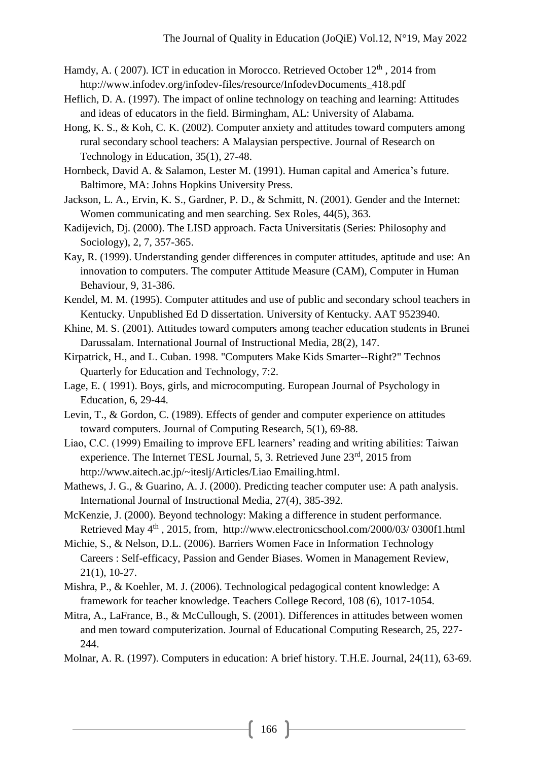Hamdy, A. (2007). ICT in education in Morocco. Retrieved October 12<sup>th</sup>, 2014 from [http://www.infodev.org/infodev-files/resource/InfodevDocuments\\_418.pdf](http://www.infodev.org/infodev-files/resource/InfodevDocuments_418.pdf)

- Heflich, D. A. (1997). The impact of online technology on teaching and learning: Attitudes and ideas of educators in the field. Birmingham, AL: University of Alabama.
- Hong, K. S., & Koh, C. K. (2002). Computer anxiety and attitudes toward computers among rural secondary school teachers: A Malaysian perspective. Journal of Research on Technology in Education, 35(1), 27-48.
- Hornbeck, David A. & Salamon, Lester M. (1991). Human capital and America's future. Baltimore, MA: Johns Hopkins University Press.
- Jackson, L. A., Ervin, K. S., Gardner, P. D., & Schmitt, N. (2001). Gender and the Internet: Women communicating and men searching. Sex Roles, 44(5), 363.
- Kadijevich, Dj. (2000). The LISD approach. Facta Universitatis (Series: Philosophy and Sociology), 2, 7, 357-365.
- Kay, R. (1999). Understanding gender differences in computer attitudes, aptitude and use: An innovation to computers. The computer Attitude Measure (CAM), Computer in Human Behaviour, 9, 31-386.
- Kendel, M. M. (1995). Computer attitudes and use of public and secondary school teachers in Kentucky. Unpublished Ed D dissertation. University of Kentucky. AAT 9523940.
- Khine, M. S. (2001). Attitudes toward computers among teacher education students in Brunei Darussalam. International Journal of Instructional Media, 28(2), 147.
- Kirpatrick, H., and L. Cuban. 1998. "Computers Make Kids Smarter--Right?" Technos Quarterly for Education and Technology, 7:2.
- Lage, E. ( 1991). Boys, girls, and microcomputing. European Journal of Psychology in Education, 6, 29-44.
- Levin, T., & Gordon, C. (1989). Effects of gender and computer experience on attitudes toward computers. Journal of Computing Research, 5(1), 69-88.
- Liao, C.C. (1999) Emailing to improve EFL learners' reading and writing abilities: Taiwan experience. The Internet TESL Journal, 5, 3. Retrieved June 23<sup>rd</sup>, 2015 from [http://www.aitech.ac.jp/~iteslj/Articles/Liao Emailing.html.](http://www.aitech.ac.jp/~iteslj/Articles/Liao%20Emailing.html)
- Mathews, J. G., & Guarino, A. J. (2000). Predicting teacher computer use: A path analysis. International Journal of Instructional Media, 27(4), 385-392.
- McKenzie, J. (2000). Beyond technology: Making a difference in student performance. Retrieved May  $4<sup>th</sup>$ , 2015, from, http://www.electronicschool.com/2000/03/ 0300f1.html
- Michie, S., & Nelson, D.L. (2006). Barriers Women Face in Information Technology Careers : Self-efficacy, Passion and Gender Biases. Women in Management Review, 21(1), 10-27.
- Mishra, P., & Koehler, M. J. (2006). Technological pedagogical content knowledge: A framework for teacher knowledge. Teachers College Record, 108 (6), 1017-1054.
- Mitra, A., LaFrance, B., & McCullough, S. (2001). Differences in attitudes between women and men toward computerization. Journal of Educational Computing Research, 25, 227- 244.
- Molnar, A. R. (1997). Computers in education: A brief history. T.H.E. Journal, 24(11), 63-69.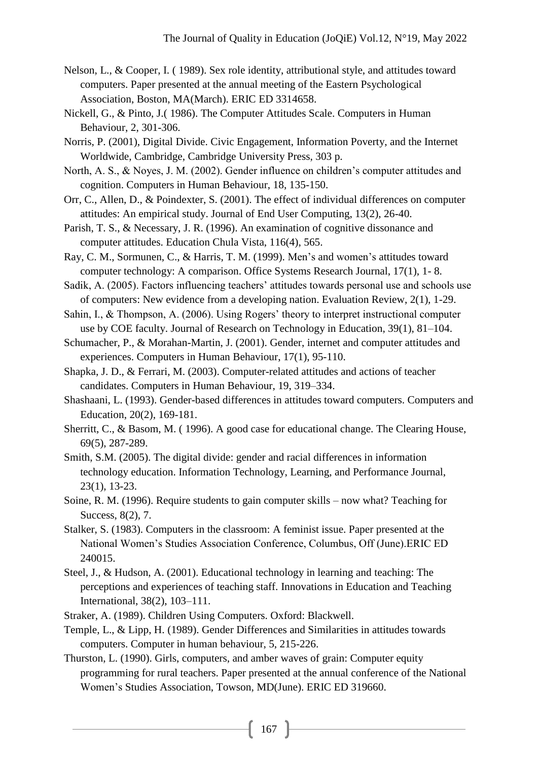- Nelson, L., & Cooper, I. ( 1989). Sex role identity, attributional style, and attitudes toward computers. Paper presented at the annual meeting of the Eastern Psychological Association, Boston, MA(March). ERIC ED 3314658.
- Nickell, G., & Pinto, J.( 1986). The Computer Attitudes Scale. Computers in Human Behaviour, 2, 301-306.
- Norris, P. (2001), Digital Divide. Civic Engagement, Information Poverty, and the Internet Worldwide, Cambridge, Cambridge University Press, 303 p.
- North, A. S., & Noyes, J. M. (2002). Gender influence on children's computer attitudes and cognition. Computers in Human Behaviour, 18, 135-150.
- Orr, C., Allen, D., & Poindexter, S. (2001). The effect of individual differences on computer attitudes: An empirical study. Journal of End User Computing, 13(2), 26-40.
- Parish, T. S., & Necessary, J. R. (1996). An examination of cognitive dissonance and computer attitudes. Education Chula Vista, 116(4), 565.
- Ray, C. M., Sormunen, C., & Harris, T. M. (1999). Men's and women's attitudes toward computer technology: A comparison. Office Systems Research Journal, 17(1), 1- 8.
- Sadik, A. (2005). Factors influencing teachers' attitudes towards personal use and schools use of computers: New evidence from a developing nation. Evaluation Review, 2(1), 1-29.
- Sahin, I., & Thompson, A. (2006). Using Rogers' theory to interpret instructional computer use by COE faculty. Journal of Research on Technology in Education, 39(1), 81–104.
- Schumacher, P., & Morahan-Martin, J. (2001). Gender, internet and computer attitudes and experiences. Computers in Human Behaviour, 17(1), 95-110.
- Shapka, J. D., & Ferrari, M. (2003). Computer-related attitudes and actions of teacher candidates. Computers in Human Behaviour, 19, 319–334.
- Shashaani, L. (1993). Gender-based differences in attitudes toward computers. Computers and Education, 20(2), 169-181.
- Sherritt, C., & Basom, M. ( 1996). A good case for educational change. The Clearing House, 69(5), 287-289.
- Smith, S.M. (2005). The digital divide: gender and racial differences in information technology education. Information Technology, Learning, and Performance Journal, 23(1), 13-23.
- Soine, R. M. (1996). Require students to gain computer skills now what? Teaching for Success, 8(2), 7.
- Stalker, S. (1983). Computers in the classroom: A feminist issue. Paper presented at the National Women's Studies Association Conference, Columbus, Off (June).ERIC ED 240015.
- Steel, J., & Hudson, A. (2001). Educational technology in learning and teaching: The perceptions and experiences of teaching staff. Innovations in Education and Teaching International, 38(2), 103–111.
- Straker, A. (1989). Children Using Computers. Oxford: Blackwell.
- Temple, L., & Lipp, H. (1989). Gender Differences and Similarities in attitudes towards computers. Computer in human behaviour, 5, 215-226.
- Thurston, L. (1990). Girls, computers, and amber waves of grain: Computer equity programming for rural teachers. Paper presented at the annual conference of the National Women's Studies Association, Towson, MD(June). ERIC ED 319660.